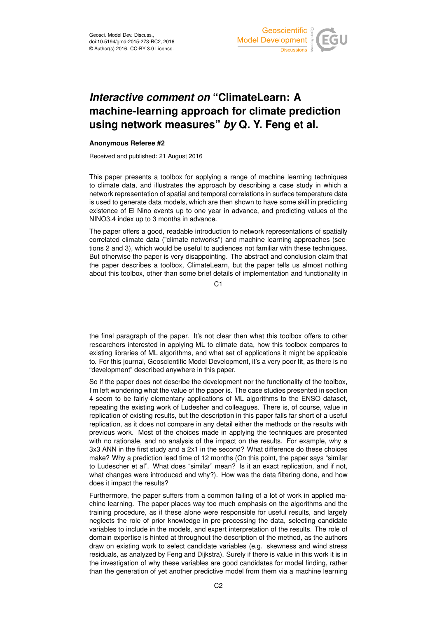

## *Interactive comment on* **"ClimateLearn: A machine-learning approach for climate prediction using network measures"** *by* **Q. Y. Feng et al.**

## **Anonymous Referee #2**

Received and published: 21 August 2016

This paper presents a toolbox for applying a range of machine learning techniques to climate data, and illustrates the approach by describing a case study in which a network representation of spatial and temporal correlations in surface temperature data is used to generate data models, which are then shown to have some skill in predicting existence of El Nino events up to one year in advance, and predicting values of the NINO3.4 index up to 3 months in advance.

The paper offers a good, readable introduction to network representations of spatially correlated climate data ("climate networks") and machine learning approaches (sections 2 and 3), which would be useful to audiences not familiar with these techniques. But otherwise the paper is very disappointing. The abstract and conclusion claim that the paper describes a toolbox, ClimateLearn, but the paper tells us almost nothing about this toolbox, other than some brief details of implementation and functionality in

 $C<sub>1</sub>$ 

the final paragraph of the paper. It's not clear then what this toolbox offers to other researchers interested in applying ML to climate data, how this toolbox compares to existing libraries of ML algorithms, and what set of applications it might be applicable to. For this journal, Geoscientific Model Development, it's a very poor fit, as there is no "development" described anywhere in this paper.

So if the paper does not describe the development nor the functionality of the toolbox, I'm left wondering what the value of the paper is. The case studies presented in section 4 seem to be fairly elementary applications of ML algorithms to the ENSO dataset, repeating the existing work of Ludesher and colleagues. There is, of course, value in replication of existing results, but the description in this paper falls far short of a useful replication, as it does not compare in any detail either the methods or the results with previous work. Most of the choices made in applying the techniques are presented with no rationale, and no analysis of the impact on the results. For example, why a 3x3 ANN in the first study and a 2x1 in the second? What difference do these choices make? Why a prediction lead time of 12 months (On this point, the paper says "similar to Ludescher et al". What does "similar" mean? Is it an exact replication, and if not, what changes were introduced and why?). How was the data filtering done, and how does it impact the results?

Furthermore, the paper suffers from a common failing of a lot of work in applied machine learning. The paper places way too much emphasis on the algorithms and the training procedure, as if these alone were responsible for useful results, and largely neglects the role of prior knowledge in pre-processing the data, selecting candidate variables to include in the models, and expert interpretation of the results. The role of domain expertise is hinted at throughout the description of the method, as the authors draw on existing work to select candidate variables (e.g. skewness and wind stress residuals, as analyzed by Feng and Dijkstra). Surely if there is value in this work it is in the investigation of why these variables are good candidates for model finding, rather than the generation of yet another predictive model from them via a machine learning